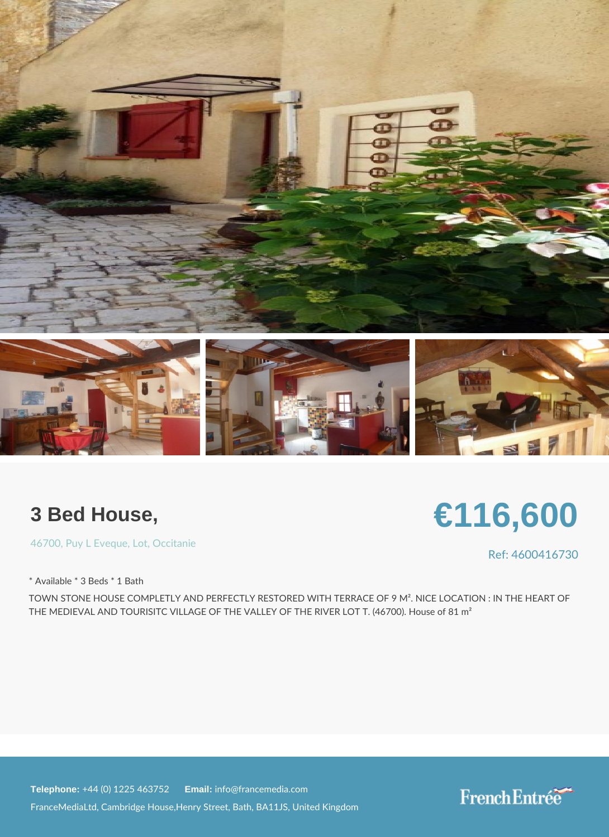## 3 Bed House,

[4670](https://www.frenchentree.com/property-for-sale/property-for-sale-france/46700-xx-puy+l+eveque-xx-lot-xx-occitanie)[, Puy L Ev](https://www.frenchentree.com/property-for-sale/property-for-sale-france/46700-xx-puy+l+eveque-xx-lot-xx-occitanie), & opticacitanie

\* Available \* 3 Beds \* 1 Bath

TOWN STONE HOUSE COMPLETLY AND PERFECTLY RESTORED WITH TERRACE OF 9 M<sup>2</sup> THE MEDIEVAL AND TOURISITC VILLAGE OF THE VALLEY OF THE RIVER LOT T. (46700

Telephone:  $+44$  (0) 1225 46 Ematilian fo@francemedia.com

FranceMediaLtd, Cambridge House,Henry Street, Bath, BA11JS, United Kingdom

Ref: 46004167

# €116,600